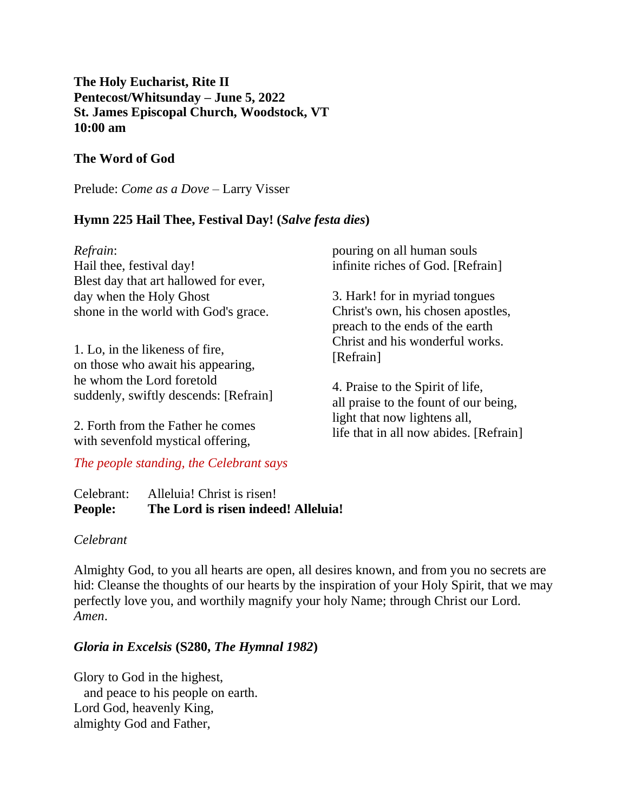# **The Holy Eucharist, Rite II Pentecost/Whitsunday – June 5, 2022 St. James Episcopal Church, Woodstock, VT 10:00 am**

# **The Word of God**

Prelude: *Come as a Dove –* Larry Visser

# **Hymn 225 Hail Thee, Festival Day! (***Salve festa dies***)**

| Refrain:                                                                 | pouring on all human souls                                                |
|--------------------------------------------------------------------------|---------------------------------------------------------------------------|
| Hail thee, festival day!                                                 | infinite riches of God. [Refrain]                                         |
| Blest day that art hallowed for ever,                                    |                                                                           |
| day when the Holy Ghost                                                  | 3. Hark! for in myriad tongues                                            |
| shone in the world with God's grace.                                     | Christ's own, his chosen apostles,<br>preach to the ends of the earth     |
| 1. Lo, in the likeness of fire,<br>on those who await his appearing,     | Christ and his wonderful works.<br>[Refrain]                              |
| he whom the Lord foretold<br>suddenly, swiftly descends: [Refrain]       | 4. Praise to the Spirit of life,<br>all praise to the fount of our being, |
| 2. Forth from the Father he comes<br>$\cdots$ $\cdots$ $\cdots$ $\cdots$ | light that now lightens all,<br>life that in all now abides. [Refrain]    |

Celebrant: Alleluia! Christ is risen! **People: The Lord is risen indeed! Alleluia!**

with sevenfold mystical offering,

*The people standing, the Celebrant says*

#### *Celebrant*

Almighty God, to you all hearts are open, all desires known, and from you no secrets are hid: Cleanse the thoughts of our hearts by the inspiration of your Holy Spirit, that we may perfectly love you, and worthily magnify your holy Name; through Christ our Lord. *Amen*.

# *Gloria in Excelsis* **(S280,** *The Hymnal 1982***)**

Glory to God in the highest, and peace to his people on earth. Lord God, heavenly King, almighty God and Father,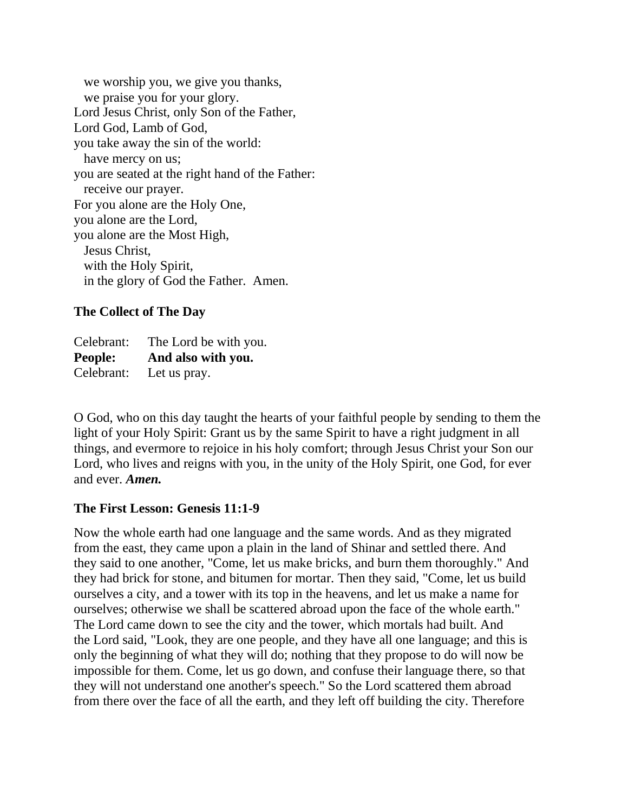we worship you, we give you thanks, we praise you for your glory. Lord Jesus Christ, only Son of the Father, Lord God, Lamb of God, you take away the sin of the world: have mercy on us; you are seated at the right hand of the Father: receive our prayer. For you alone are the Holy One, you alone are the Lord, you alone are the Most High, Jesus Christ, with the Holy Spirit, in the glory of God the Father. Amen.

# **The Collect of The Day**

| Celebrant:     | The Lord be with you. |
|----------------|-----------------------|
| <b>People:</b> | And also with you.    |
| Celebrant:     | Let us pray.          |

O God, who on this day taught the hearts of your faithful people by sending to them the light of your Holy Spirit: Grant us by the same Spirit to have a right judgment in all things, and evermore to rejoice in his holy comfort; through Jesus Christ your Son our Lord, who lives and reigns with you, in the unity of the Holy Spirit, one God, for ever and ever. *Amen.*

# **The First Lesson: Genesis 11:1-9**

Now the whole earth had one language and the same words. And as they migrated from the east, they came upon a plain in the land of Shinar and settled there. And they said to one another, "Come, let us make bricks, and burn them thoroughly." And they had brick for stone, and bitumen for mortar. Then they said, "Come, let us build ourselves a city, and a tower with its top in the heavens, and let us make a name for ourselves; otherwise we shall be scattered abroad upon the face of the whole earth." The Lord came down to see the city and the tower, which mortals had built. And the Lord said, "Look, they are one people, and they have all one language; and this is only the beginning of what they will do; nothing that they propose to do will now be impossible for them. Come, let us go down, and confuse their language there, so that they will not understand one another's speech." So the Lord scattered them abroad from there over the face of all the earth, and they left off building the city. Therefore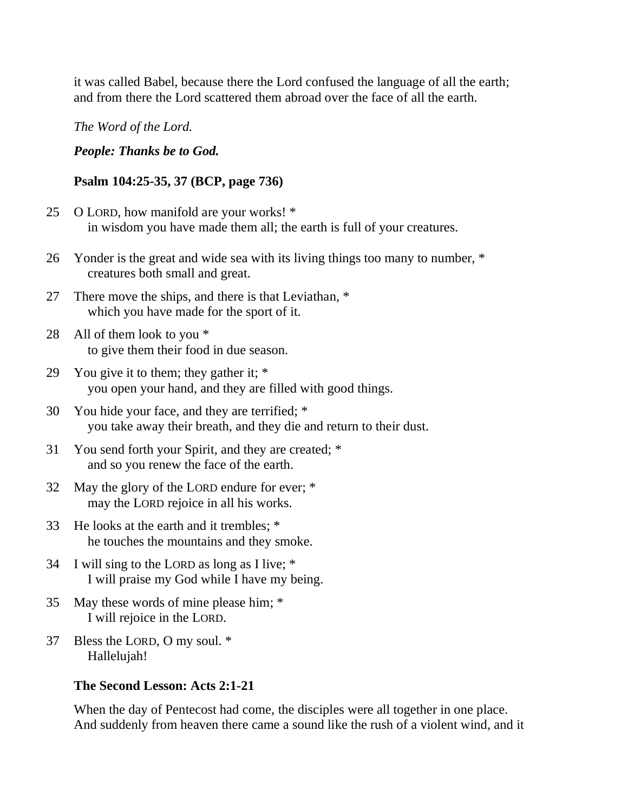it was called Babel, because there the Lord confused the language of all the earth; and from there the Lord scattered them abroad over the face of all the earth.

*The Word of the Lord.*

*People: Thanks be to God.* 

# **Psalm 104:25-35, 37 (BCP, page 736)**

- 25 O LORD, how manifold are your works! \* in wisdom you have made them all; the earth is full of your creatures.
- 26 Yonder is the great and wide sea with its living things too many to number,  $*$ creatures both small and great.
- 27 There move the ships, and there is that Leviathan, \* which you have made for the sport of it.
- 28 All of them look to you \* to give them their food in due season.
- 29 You give it to them; they gather it;  $*$ you open your hand, and they are filled with good things.
- 30 You hide your face, and they are terrified; \* you take away their breath, and they die and return to their dust.
- 31 You send forth your Spirit, and they are created; \* and so you renew the face of the earth.
- 32 May the glory of the LORD endure for ever; \* may the LORD rejoice in all his works.
- 33 He looks at the earth and it trembles; \* he touches the mountains and they smoke.
- 34 I will sing to the LORD as long as I live; \* I will praise my God while I have my being.
- 35 May these words of mine please him; \* I will rejoice in the LORD.
- 37 Bless the LORD, O my soul. \* Hallelujah!

# **The Second Lesson: Acts 2:1-21**

When the day of Pentecost had come, the disciples were all together in one place. And suddenly from heaven there came a sound like the rush of a violent wind, and it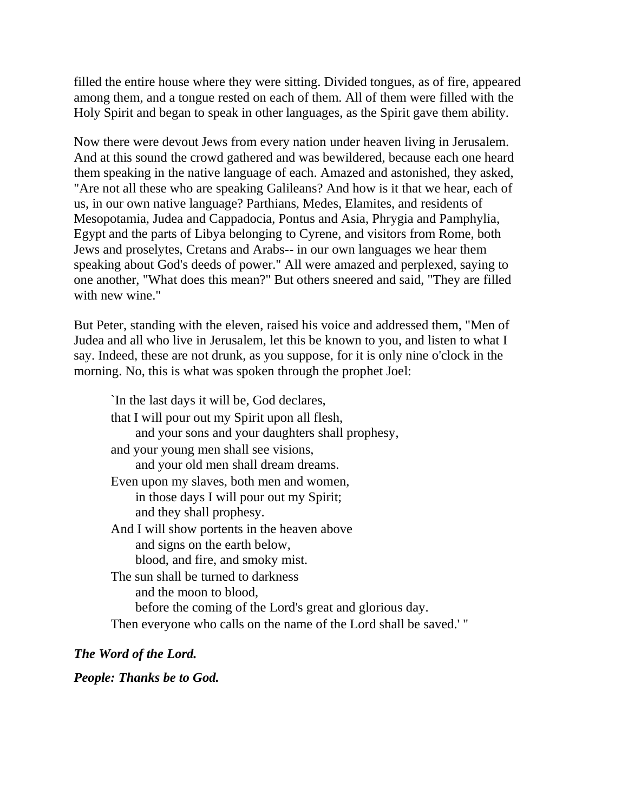filled the entire house where they were sitting. Divided tongues, as of fire, appeared among them, and a tongue rested on each of them. All of them were filled with the Holy Spirit and began to speak in other languages, as the Spirit gave them ability.

Now there were devout Jews from every nation under heaven living in Jerusalem. And at this sound the crowd gathered and was bewildered, because each one heard them speaking in the native language of each. Amazed and astonished, they asked, "Are not all these who are speaking Galileans? And how is it that we hear, each of us, in our own native language? Parthians, Medes, Elamites, and residents of Mesopotamia, Judea and Cappadocia, Pontus and Asia, Phrygia and Pamphylia, Egypt and the parts of Libya belonging to Cyrene, and visitors from Rome, both Jews and proselytes, Cretans and Arabs-- in our own languages we hear them speaking about God's deeds of power." All were amazed and perplexed, saying to one another, "What does this mean?" But others sneered and said, "They are filled with new wine."

But Peter, standing with the eleven, raised his voice and addressed them, "Men of Judea and all who live in Jerusalem, let this be known to you, and listen to what I say. Indeed, these are not drunk, as you suppose, for it is only nine o'clock in the morning. No, this is what was spoken through the prophet Joel:

| In the last days it will be, God declares,                         |
|--------------------------------------------------------------------|
| that I will pour out my Spirit upon all flesh,                     |
| and your sons and your daughters shall prophesy,                   |
| and your young men shall see visions,                              |
| and your old men shall dream dreams.                               |
| Even upon my slaves, both men and women,                           |
| in those days I will pour out my Spirit;                           |
| and they shall prophesy.                                           |
| And I will show portents in the heaven above                       |
| and signs on the earth below,                                      |
| blood, and fire, and smoky mist.                                   |
| The sun shall be turned to darkness                                |
| and the moon to blood,                                             |
| before the coming of the Lord's great and glorious day.            |
| Then everyone who calls on the name of the Lord shall be saved.' " |
|                                                                    |

# *The Word of the Lord.*

*People: Thanks be to God.*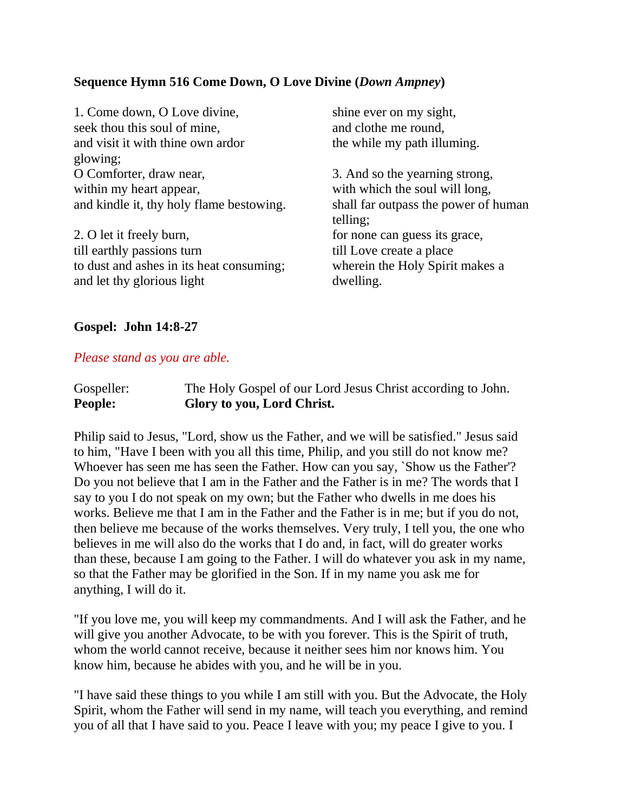# **Sequence Hymn 516 Come Down, O Love Divine (***Down Ampney***)**

1. Come down, O Love divine, seek thou this soul of mine, and visit it with thine own ardor glowing; O Comforter, draw near, within my heart appear, and kindle it, thy holy flame bestowing.

2. O let it freely burn, till earthly passions turn to dust and ashes in its heat consuming; and let thy glorious light

shine ever on my sight, and clothe me round, the while my path illuming.

3. And so the yearning strong, with which the soul will long, shall far outpass the power of human telling; for none can guess its grace, till Love create a place wherein the Holy Spirit makes a dwelling.

# **Gospel: John 14:8-27**

#### *Please stand as you are able.*

| <b>People:</b> | Glory to you, Lord Christ.                                  |
|----------------|-------------------------------------------------------------|
| Gospeller:     | The Holy Gospel of our Lord Jesus Christ according to John. |

Philip said to Jesus, "Lord, show us the Father, and we will be satisfied." Jesus said to him, "Have I been with you all this time, Philip, and you still do not know me? Whoever has seen me has seen the Father. How can you say, `Show us the Father'? Do you not believe that I am in the Father and the Father is in me? The words that I say to you I do not speak on my own; but the Father who dwells in me does his works. Believe me that I am in the Father and the Father is in me; but if you do not, then believe me because of the works themselves. Very truly, I tell you, the one who believes in me will also do the works that I do and, in fact, will do greater works than these, because I am going to the Father. I will do whatever you ask in my name, so that the Father may be glorified in the Son. If in my name you ask me for anything, I will do it.

"If you love me, you will keep my commandments. And I will ask the Father, and he will give you another Advocate, to be with you forever. This is the Spirit of truth, whom the world cannot receive, because it neither sees him nor knows him. You know him, because he abides with you, and he will be in you.

"I have said these things to you while I am still with you. But the Advocate, the Holy Spirit, whom the Father will send in my name, will teach you everything, and remind you of all that I have said to you. Peace I leave with you; my peace I give to you. I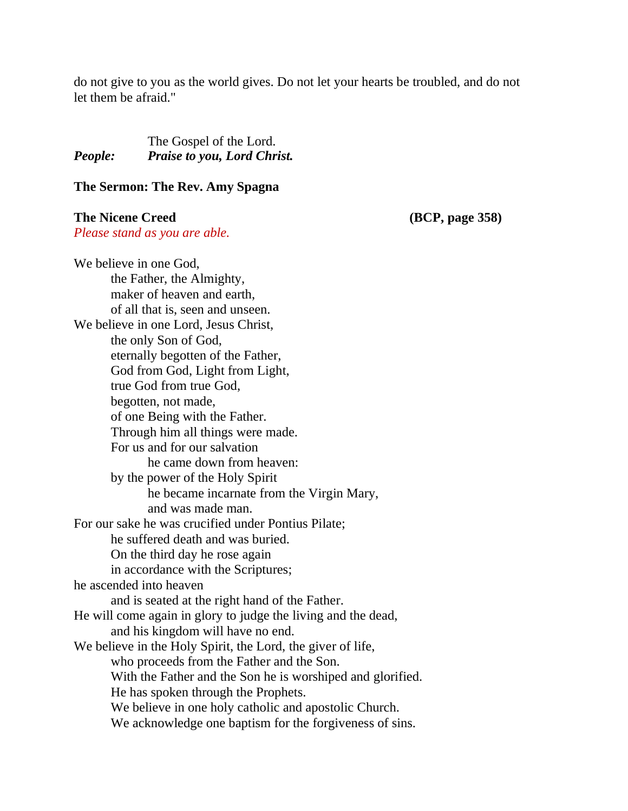do not give to you as the world gives. Do not let your hearts be troubled, and do not let them be afraid."

#### The Gospel of the Lord. *People: Praise to you, Lord Christ.*

#### **The Sermon: The Rev. Amy Spagna**

#### **The Nicene Creed (BCP, page 358)**

*Please stand as you are able.*

We believe in one God, the Father, the Almighty, maker of heaven and earth, of all that is, seen and unseen. We believe in one Lord, Jesus Christ, the only Son of God, eternally begotten of the Father, God from God, Light from Light, true God from true God, begotten, not made, of one Being with the Father. Through him all things were made. For us and for our salvation he came down from heaven: by the power of the Holy Spirit he became incarnate from the Virgin Mary, and was made man. For our sake he was crucified under Pontius Pilate; he suffered death and was buried. On the third day he rose again in accordance with the Scriptures; he ascended into heaven and is seated at the right hand of the Father. He will come again in glory to judge the living and the dead, and his kingdom will have no end. We believe in the Holy Spirit, the Lord, the giver of life, who proceeds from the Father and the Son. With the Father and the Son he is worshiped and glorified. He has spoken through the Prophets. We believe in one holy catholic and apostolic Church. We acknowledge one baptism for the forgiveness of sins.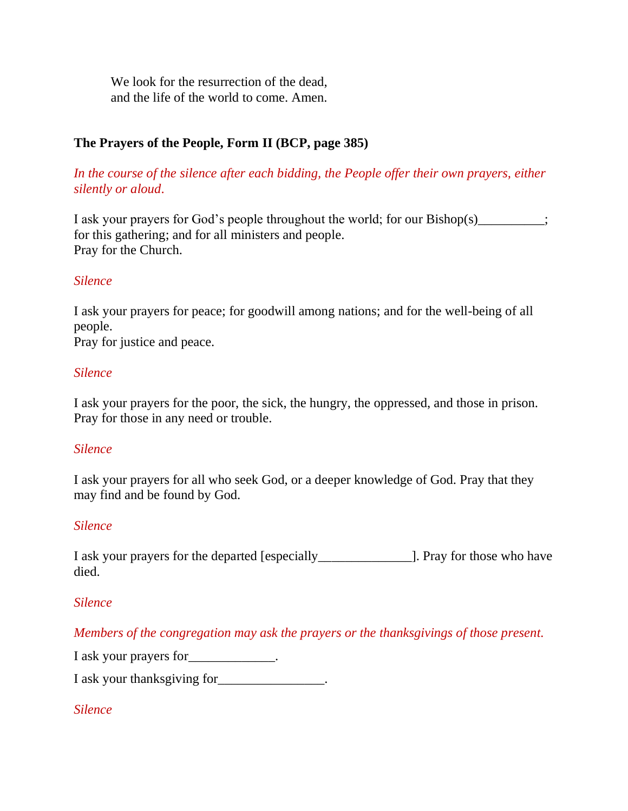We look for the resurrection of the dead. and the life of the world to come. Amen.

# **The Prayers of the People, Form II (BCP, page 385)**

In the course of the silence after each bidding, the People offer their own prayers, either *silently or aloud*.

I ask your prayers for God's people throughout the world; for our Bishop(s)  $\qquad \qquad$ ; for this gathering; and for all ministers and people. Pray for the Church.

#### *Silence*

I ask your prayers for peace; for goodwill among nations; and for the well-being of all people.

Pray for justice and peace.

#### *Silence*

I ask your prayers for the poor, the sick, the hungry, the oppressed, and those in prison. Pray for those in any need or trouble.

# *Silence*

I ask your prayers for all who seek God, or a deeper knowledge of God. Pray that they may find and be found by God.

# *Silence*

I ask your prayers for the departed [especially\_\_\_\_\_\_\_\_\_\_\_\_\_\_]. Pray for those who have died.

# *Silence*

*Members of the congregation may ask the prayers or the thanksgivings of those present.*

I ask your prayers for \_\_\_\_\_\_\_\_\_\_\_\_\_.

I ask your thanksgiving for \_\_\_\_\_\_\_\_\_\_\_\_\_\_\_\_.

# *Silence*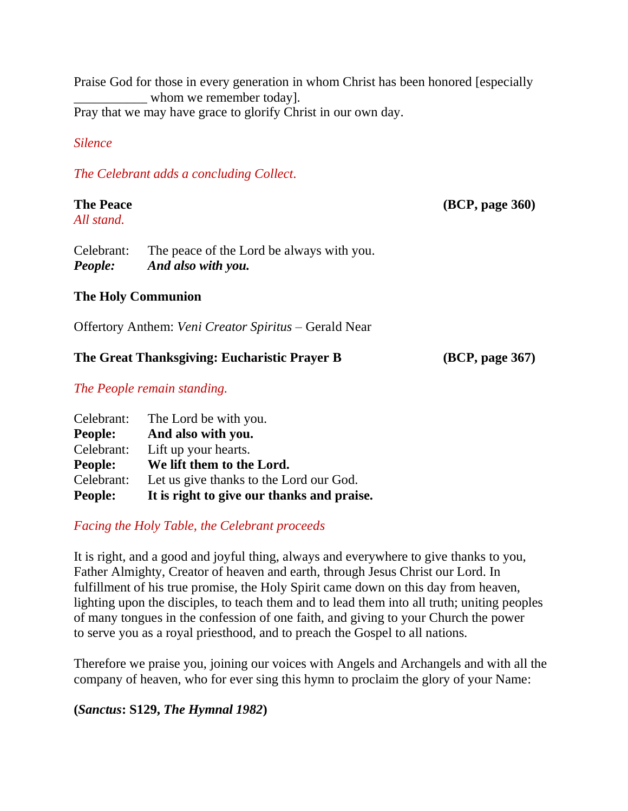Praise God for those in every generation in whom Christ has been honored [especially whom we remember today]. Pray that we may have grace to glorify Christ in our own day.

#### *Silence*

*The Celebrant adds a concluding Collect*.

*All stand.*

**The Peace (BCP, page 360)**

Celebrant: The peace of the Lord be always with you. *People: And also with you.*

#### **The Holy Communion**

Offertory Anthem: *Veni Creator Spiritus* – Gerald Near

# **The Great Thanksgiving: Eucharistic Prayer B (BCP, page 367)**

*The People remain standing.*

| <b>People:</b> | It is right to give our thanks and praise. |
|----------------|--------------------------------------------|
| Celebrant:     | Let us give thanks to the Lord our God.    |
| <b>People:</b> | We lift them to the Lord.                  |
| Celebrant:     | Lift up your hearts.                       |
| <b>People:</b> | And also with you.                         |
| Celebrant:     | The Lord be with you.                      |

# *Facing the Holy Table, the Celebrant proceeds*

It is right, and a good and joyful thing, always and everywhere to give thanks to you, Father Almighty, Creator of heaven and earth, through Jesus Christ our Lord. In fulfillment of his true promise, the Holy Spirit came down on this day from heaven, lighting upon the disciples, to teach them and to lead them into all truth; uniting peoples of many tongues in the confession of one faith, and giving to your Church the power to serve you as a royal priesthood, and to preach the Gospel to all nations.

Therefore we praise you, joining our voices with Angels and Archangels and with all the company of heaven, who for ever sing this hymn to proclaim the glory of your Name:

# **(***Sanctus***: S129,** *The Hymnal 1982***)**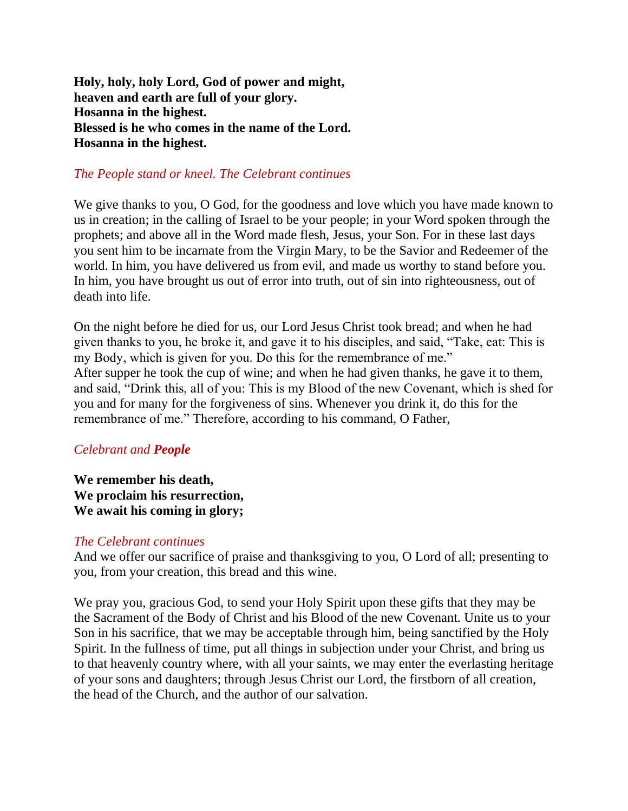**Holy, holy, holy Lord, God of power and might, heaven and earth are full of your glory. Hosanna in the highest. Blessed is he who comes in the name of the Lord. Hosanna in the highest.**

# *The People stand or kneel. The Celebrant continues*

We give thanks to you, O God, for the goodness and love which you have made known to us in creation; in the calling of Israel to be your people; in your Word spoken through the prophets; and above all in the Word made flesh, Jesus, your Son. For in these last days you sent him to be incarnate from the Virgin Mary, to be the Savior and Redeemer of the world. In him, you have delivered us from evil, and made us worthy to stand before you. In him, you have brought us out of error into truth, out of sin into righteousness, out of death into life.

On the night before he died for us, our Lord Jesus Christ took bread; and when he had given thanks to you, he broke it, and gave it to his disciples, and said, "Take, eat: This is my Body, which is given for you. Do this for the remembrance of me." After supper he took the cup of wine; and when he had given thanks, he gave it to them, and said, "Drink this, all of you: This is my Blood of the new Covenant, which is shed for you and for many for the forgiveness of sins. Whenever you drink it, do this for the remembrance of me." Therefore, according to his command, O Father,

# *Celebrant and People*

**We remember his death, We proclaim his resurrection, We await his coming in glory;**

#### *The Celebrant continues*

And we offer our sacrifice of praise and thanksgiving to you, O Lord of all; presenting to you, from your creation, this bread and this wine.

We pray you, gracious God, to send your Holy Spirit upon these gifts that they may be the Sacrament of the Body of Christ and his Blood of the new Covenant. Unite us to your Son in his sacrifice, that we may be acceptable through him, being sanctified by the Holy Spirit. In the fullness of time, put all things in subjection under your Christ, and bring us to that heavenly country where, with all your saints, we may enter the everlasting heritage of your sons and daughters; through Jesus Christ our Lord, the firstborn of all creation, the head of the Church, and the author of our salvation.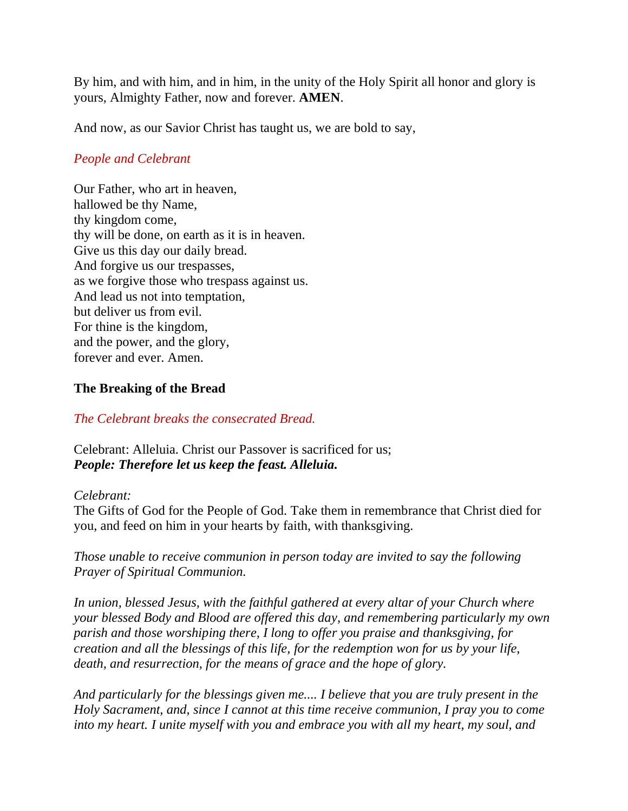By him, and with him, and in him, in the unity of the Holy Spirit all honor and glory is yours, Almighty Father, now and forever. **AMEN**.

And now, as our Savior Christ has taught us, we are bold to say,

# *People and Celebrant*

Our Father, who art in heaven, hallowed be thy Name, thy kingdom come, thy will be done, on earth as it is in heaven. Give us this day our daily bread. And forgive us our trespasses, as we forgive those who trespass against us. And lead us not into temptation, but deliver us from evil. For thine is the kingdom, and the power, and the glory, forever and ever. Amen.

# **The Breaking of the Bread**

*The Celebrant breaks the consecrated Bread.* 

Celebrant: Alleluia. Christ our Passover is sacrificed for us; *People: Therefore let us keep the feast. Alleluia.*

# *Celebrant:*

The Gifts of God for the People of God. Take them in remembrance that Christ died for you, and feed on him in your hearts by faith, with thanksgiving.

*Those unable to receive communion in person today are invited to say the following Prayer of Spiritual Communion.*

*In union, blessed Jesus, with the faithful gathered at every altar of your Church where your blessed Body and Blood are offered this day, and remembering particularly my own parish and those worshiping there, I long to offer you praise and thanksgiving, for creation and all the blessings of this life, for the redemption won for us by your life, death, and resurrection, for the means of grace and the hope of glory.*

*And particularly for the blessings given me.... I believe that you are truly present in the Holy Sacrament, and, since I cannot at this time receive communion, I pray you to come into my heart. I unite myself with you and embrace you with all my heart, my soul, and*